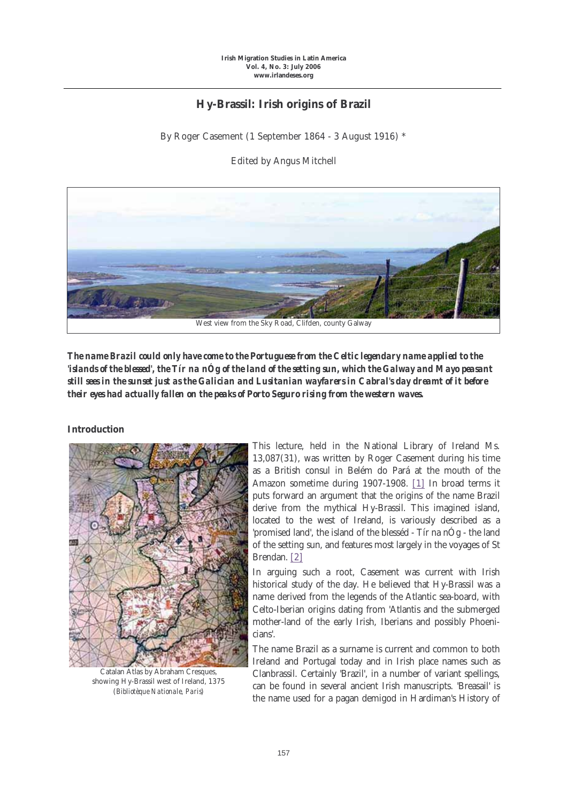## **Hy-Brassil: Irish origins of Brazil**

By Roger Casement (1 September 1864 - 3 August 1916) \*

Edited by Angus Mitchell



*The name Brazil could only have come to the Portuguese from the Celtic legendary name applied to the 'islands of the blessed', the Tír na nÓg of the land of the setting sun, which the Galway and Mayo peasant still sees in the sunset just as the Galician and Lusitanian wayfarers in Cabral's day dreamt of it before their eyes had actually fallen on the peaks of Porto Seguro rising from the western waves.*

## **Introduction**



Catalan Atlas by Abraham Cresques, showing Hy-Brassil west of Ireland, 1375 (*Bibliotèque Nationale, Paris*)

This lecture, held in the National Library of Ireland Ms. 13,087(31), was written by Roger Casement during his time as a British consul in Belém do Pará at the mouth of the Amazon sometime during 1907-1908. [1] In broad terms it puts forward an argument that the origins of the name Brazil derive from the mythical Hy-Brassil. This imagined island, located to the west of Ireland, is variously described as a 'promised land', the island of the blesséd - Tír na nÓg - the land of the setting sun, and features most largely in the voyages of St Brendan. [2]

In arguing such a root, Casement was current with Irish historical study of the day. He believed that Hy-Brassil was a name derived from the legends of the Atlantic sea-board, with Celto-Iberian origins dating from 'Atlantis and the submerged mother-land of the early Irish, Iberians and possibly Phoenicians'.

The name Brazil as a surname is current and common to both Ireland and Portugal today and in Irish place names such as Clanbrassil. Certainly 'Brazil', in a number of variant spellings, can be found in several ancient Irish manuscripts. 'Breasail' is the name used for a pagan demigod in Hardiman's History of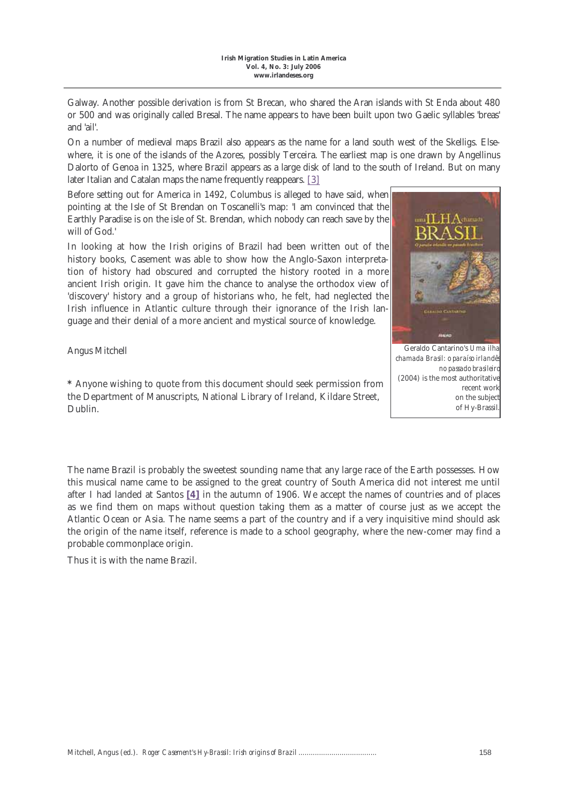Galway. Another possible derivation is from St Brecan, who shared the Aran islands with St Enda about 480 or 500 and was originally called Bresal. The name appears to have been built upon two Gaelic syllables 'breas' and 'ail'.

On a number of medieval maps Brazil also appears as the name for a land south west of the Skelligs. Elsewhere, it is one of the islands of the Azores, possibly Terceira. The earliest map is one drawn by Angellinus Dalorto of Genoa in 1325, where Brazil appears as a large disk of land to the south of Ireland. But on many later Italian and Catalan maps the name frequently reappears. [3]

Before setting out for America in 1492, Columbus is alleged to have said, when pointing at the Isle of St Brendan on Toscanelli's map: 'I am convinced that the Earthly Paradise is on the isle of St. Brendan, which nobody can reach save by the will of God.'

In looking at how the Irish origins of Brazil had been written out of the history books, Casement was able to show how the Anglo-Saxon interpretation of history had obscured and corrupted the history rooted in a more ancient Irish origin. It gave him the chance to analyse the orthodox view of 'discovery' history and a group of historians who, he felt, had neglected the Irish influence in Atlantic culture through their ignorance of the Irish language and their denial of a more ancient and mystical source of knowledge.

Angus Mitchell

**\*** Anyone wishing to quote from this document should seek permission from the Department of Manuscripts, National Library of Ireland, Kildare Street, Dublin.



Geraldo Cantarino's *Uma ilha chamada Brasil: o paraíso irlandês no passado brasileiro* (2004) is the most authoritative recent work on the subject of Hy-Brassil.

The name Brazil is probably the sweetest sounding name that any large race of the Earth possesses. How this musical name came to be assigned to the great country of South America did not interest me until after I had landed at Santos **[4]** in the autumn of 1906. We accept the names of countries and of places as we find them on maps without question taking them as a matter of course just as we accept the Atlantic Ocean or Asia. The name seems a part of the country and if a very inquisitive mind should ask the origin of the name itself, reference is made to a school geography, where the new-comer may find a probable commonplace origin.

Thus it is with the name Brazil.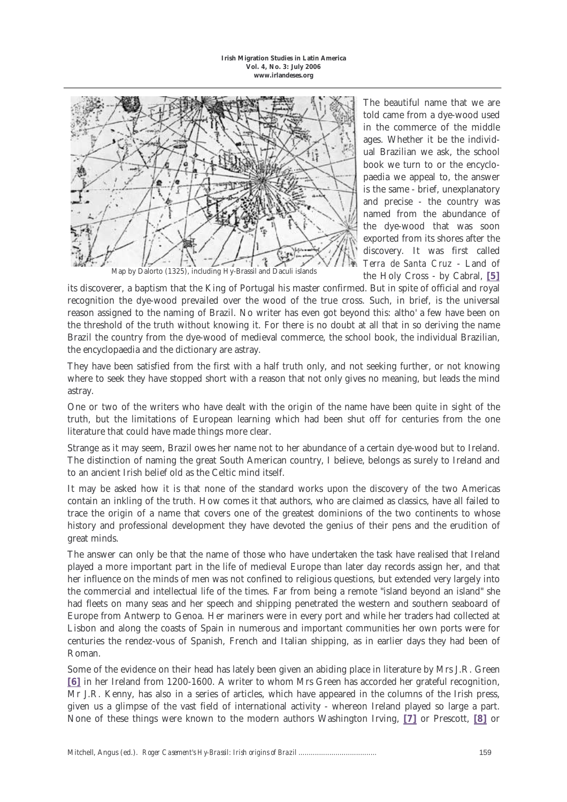

Map by Dalorto (1325), including Hy-Brassil and Daculi islands

The beautiful name that we are told came from a dye-wood used in the commerce of the middle ages. Whether it be the individual Brazilian we ask, the school book we turn to or the encyclopaedia we appeal to, the answer is the same - brief, unexplanatory and precise - the country was named from the abundance of the dye-wood that was soon exported from its shores after the discovery. It was first called *Terra de Santa Cruz* - Land of the Holy Cross - by Cabral, **[5]**

its discoverer, a baptism that the King of Portugal his master confirmed. But in spite of official and royal recognition the dye-wood prevailed over the wood of the true cross. Such, in brief, is the universal reason assigned to the naming of Brazil. No writer has even got beyond this: altho' a few have been on the threshold of the truth without knowing it. For there is no doubt at all that in so deriving the name Brazil the country from the dye-wood of medieval commerce, the school book, the individual Brazilian, the encyclopaedia and the dictionary are astray.

They have been satisfied from the first with a half truth only, and not seeking further, or not knowing where to seek they have stopped short with a reason that not only gives no meaning, but leads the mind astray.

One or two of the writers who have dealt with the origin of the name have been quite in sight of the truth, but the limitations of European learning which had been shut off for centuries from the one literature that could have made things more clear.

Strange as it may seem, Brazil owes her name not to her abundance of a certain dye-wood but to Ireland. The distinction of naming the great South American country, I believe, belongs as surely to Ireland and to an ancient Irish belief old as the Celtic mind itself.

It may be asked how it is that none of the standard works upon the discovery of the two Americas contain an inkling of the truth. How comes it that authors, who are claimed as classics, have all failed to trace the origin of a name that covers one of the greatest dominions of the two continents to whose history and professional development they have devoted the genius of their pens and the erudition of great minds.

The answer can only be that the name of those who have undertaken the task have realised that Ireland played a more important part in the life of medieval Europe than later day records assign her, and that her influence on the minds of men was not confined to religious questions, but extended very largely into the commercial and intellectual life of the times. Far from being a remote "island beyond an island" she had fleets on many seas and her speech and shipping penetrated the western and southern seaboard of Europe from Antwerp to Genoa. Her mariners were in every port and while her traders had collected at Lisbon and along the coasts of Spain in numerous and important communities her own ports were for centuries the rendez-vous of Spanish, French and Italian shipping, as in earlier days they had been of Roman.

Some of the evidence on their head has lately been given an abiding place in literature by Mrs J.R. Green **[6]** in her Ireland from 1200-1600. A writer to whom Mrs Green has accorded her grateful recognition, Mr J.R. Kenny, has also in a series of articles, which have appeared in the columns of the Irish press, given us a glimpse of the vast field of international activity - whereon Ireland played so large a part. None of these things were known to the modern authors Washington Irving, **[7]** or Prescott, **[8]** or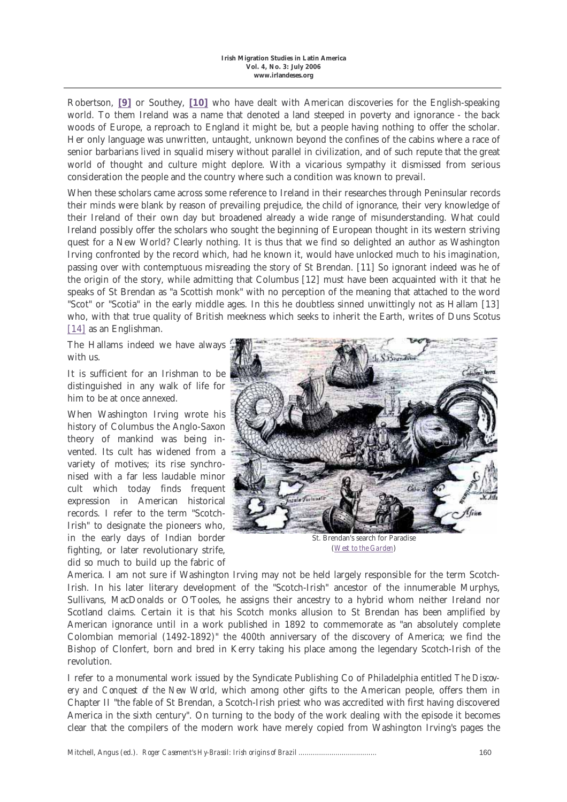Robertson, **[9]** or Southey, **[10]** who have dealt with American discoveries for the English-speaking world. To them Ireland was a name that denoted a land steeped in poverty and ignorance - the back woods of Europe, a reproach to England it might be, but a people having nothing to offer the scholar. Her only language was unwritten, untaught, unknown beyond the confines of the cabins where a race of senior barbarians lived in squalid misery without parallel in civilization, and of such repute that the great world of thought and culture might deplore. With a vicarious sympathy it dismissed from serious consideration the people and the country where such a condition was known to prevail.

When these scholars came across some reference to Ireland in their researches through Peninsular records their minds were blank by reason of prevailing prejudice, the child of ignorance, their very knowledge of their Ireland of their own day but broadened already a wide range of misunderstanding. What could Ireland possibly offer the scholars who sought the beginning of European thought in its western striving quest for a New World? Clearly nothing. It is thus that we find so delighted an author as Washington Irving confronted by the record which, had he known it, would have unlocked much to his imagination, passing over with contemptuous misreading the story of St Brendan. [11] So ignorant indeed was he of the origin of the story, while admitting that Columbus [12] must have been acquainted with it that he speaks of St Brendan as "a Scottish monk" with no perception of the meaning that attached to the word "Scot" or "Scotia" in the early middle ages. In this he doubtless sinned unwittingly not as Hallam [13] who, with that true quality of British meekness which seeks to inherit the Earth, writes of Duns Scotus [14] as an Englishman.

The Hallams indeed we have always with us.

It is sufficient for an Irishman to be distinguished in any walk of life for him to be at once annexed.

When Washington Irving wrote his history of Columbus the Anglo-Saxon theory of mankind was being invented. Its cult has widened from a variety of motives; its rise synchronised with a far less laudable minor cult which today finds frequent expression in American historical records. I refer to the term "Scotch-Irish" to designate the pioneers who, in the early days of Indian border fighting, or later revolutionary strife, did so much to build up the fabric of



(*West to the Garden*)

America. I am not sure if Washington Irving may not be held largely responsible for the term Scotch-Irish. In his later literary development of the "Scotch-Irish" ancestor of the innumerable Murphys, Sullivans, MacDonalds or O'Tooles, he assigns their ancestry to a hybrid whom neither Ireland nor Scotland claims. Certain it is that his Scotch monks allusion to St Brendan has been amplified by American ignorance until in a work published in 1892 to commemorate as "an absolutely complete Colombian memorial (1492-1892)" the 400th anniversary of the discovery of America; we find the Bishop of Clonfert, born and bred in Kerry taking his place among the legendary Scotch-Irish of the revolution.

I refer to a monumental work issued by the Syndicate Publishing Co of Philadelphia entitled *The Discovery and Conquest of the New World*, which among other gifts to the American people, offers them in Chapter II "the fable of St Brendan, a Scotch-Irish priest who was accredited with first having discovered America in the sixth century". On turning to the body of the work dealing with the episode it becomes clear that the compilers of the modern work have merely copied from Washington Irving's pages the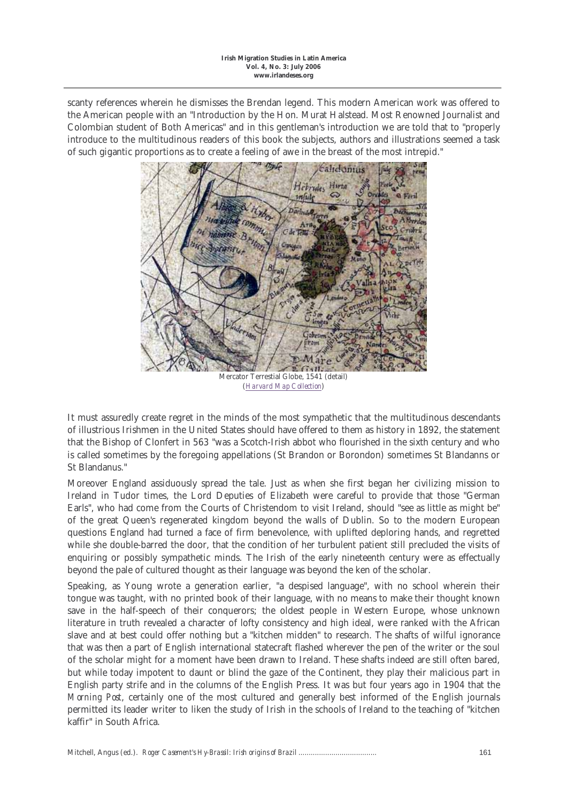scanty references wherein he dismisses the Brendan legend. This modern American work was offered to the American people with an "Introduction by the Hon. Murat Halstead. Most Renowned Journalist and Colombian student of Both Americas" and in this gentleman's introduction we are told that to "properly introduce to the multitudinous readers of this book the subjects, authors and illustrations seemed a task of such gigantic proportions as to create a feeling of awe in the breast of the most intrepid."



Mercator Terrestial Globe, 1541 (detail) (*Harvard Map Collection*)

It must assuredly create regret in the minds of the most sympathetic that the multitudinous descendants of illustrious Irishmen in the United States should have offered to them as history in 1892, the statement that the Bishop of Clonfert in 563 "was a Scotch-Irish abbot who flourished in the sixth century and who is called sometimes by the foregoing appellations (St Brandon or Borondon) sometimes St Blandanns or St Blandanus."

Moreover England assiduously spread the tale. Just as when she first began her civilizing mission to Ireland in Tudor times, the Lord Deputies of Elizabeth were careful to provide that those "German Earls", who had come from the Courts of Christendom to visit Ireland, should "see as little as might be" of the great Queen's regenerated kingdom beyond the walls of Dublin. So to the modern European questions England had turned a face of firm benevolence, with uplifted deploring hands, and regretted while she double-barred the door, that the condition of her turbulent patient still precluded the visits of enquiring or possibly sympathetic minds. The Irish of the early nineteenth century were as effectually beyond the pale of cultured thought as their language was beyond the ken of the scholar.

Speaking, as Young wrote a generation earlier, "a despised language", with no school wherein their tongue was taught, with no printed book of their language, with no means to make their thought known save in the half-speech of their conquerors; the oldest people in Western Europe, whose unknown literature in truth revealed a character of lofty consistency and high ideal, were ranked with the African slave and at best could offer nothing but a "kitchen midden" to research. The shafts of wilful ignorance that was then a part of English international statecraft flashed wherever the pen of the writer or the soul of the scholar might for a moment have been drawn to Ireland. These shafts indeed are still often bared, but while today impotent to daunt or blind the gaze of the Continent, they play their malicious part in English party strife and in the columns of the English Press. It was but four years ago in 1904 that the *Morning Post*, certainly one of the most cultured and generally best informed of the English journals permitted its leader writer to liken the study of Irish in the schools of Ireland to the teaching of "kitchen kaffir" in South Africa.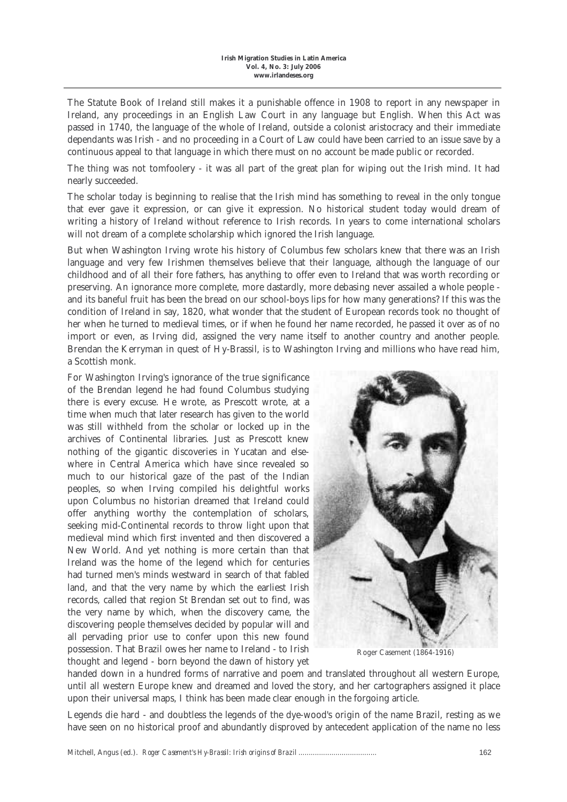The Statute Book of Ireland still makes it a punishable offence in 1908 to report in any newspaper in Ireland, any proceedings in an English Law Court in any language but English. When this Act was passed in 1740, the language of the whole of Ireland, outside a colonist aristocracy and their immediate dependants was Irish - and no proceeding in a Court of Law could have been carried to an issue save by a continuous appeal to that language in which there must on no account be made public or recorded.

The thing was not tomfoolery - it was all part of the great plan for wiping out the Irish mind. It had nearly succeeded.

The scholar today is beginning to realise that the Irish mind has something to reveal in the only tongue that ever gave it expression, or can give it expression. No historical student today would dream of writing a history of Ireland without reference to Irish records. In years to come international scholars will not dream of a complete scholarship which ignored the Irish language.

But when Washington Irving wrote his history of Columbus few scholars knew that there was an Irish language and very few Irishmen themselves believe that their language, although the language of our childhood and of all their fore fathers, has anything to offer even to Ireland that was worth recording or preserving. An ignorance more complete, more dastardly, more debasing never assailed a whole people and its baneful fruit has been the bread on our school-boys lips for how many generations? If this was the condition of Ireland in say, 1820, what wonder that the student of European records took no thought of her when he turned to medieval times, or if when he found her name recorded, he passed it over as of no import or even, as Irving did, assigned the very name itself to another country and another people. Brendan the Kerryman in quest of Hy-Brassil, is to Washington Irving and millions who have read him, a Scottish monk.

For Washington Irving's ignorance of the true significance of the Brendan legend he had found Columbus studying there is every excuse. He wrote, as Prescott wrote, at a time when much that later research has given to the world was still withheld from the scholar or locked up in the archives of Continental libraries. Just as Prescott knew nothing of the gigantic discoveries in Yucatan and elsewhere in Central America which have since revealed so much to our historical gaze of the past of the Indian peoples, so when Irving compiled his delightful works upon Columbus no historian dreamed that Ireland could offer anything worthy the contemplation of scholars, seeking mid-Continental records to throw light upon that medieval mind which first invented and then discovered a New World. And yet nothing is more certain than that Ireland was the home of the legend which for centuries had turned men's minds westward in search of that fabled land, and that the very name by which the earliest Irish records, called that region St Brendan set out to find, was the very name by which, when the discovery came, the discovering people themselves decided by popular will and all pervading prior use to confer upon this new found possession. That Brazil owes her name to Ireland - to Irish thought and legend - born beyond the dawn of history yet



Roger Casement (1864-1916)

handed down in a hundred forms of narrative and poem and translated throughout all western Europe, until all western Europe knew and dreamed and loved the story, and her cartographers assigned it place upon their universal maps, I think has been made clear enough in the forgoing article.

Legends die hard - and doubtless the legends of the dye-wood's origin of the name Brazil, resting as we have seen on no historical proof and abundantly disproved by antecedent application of the name no less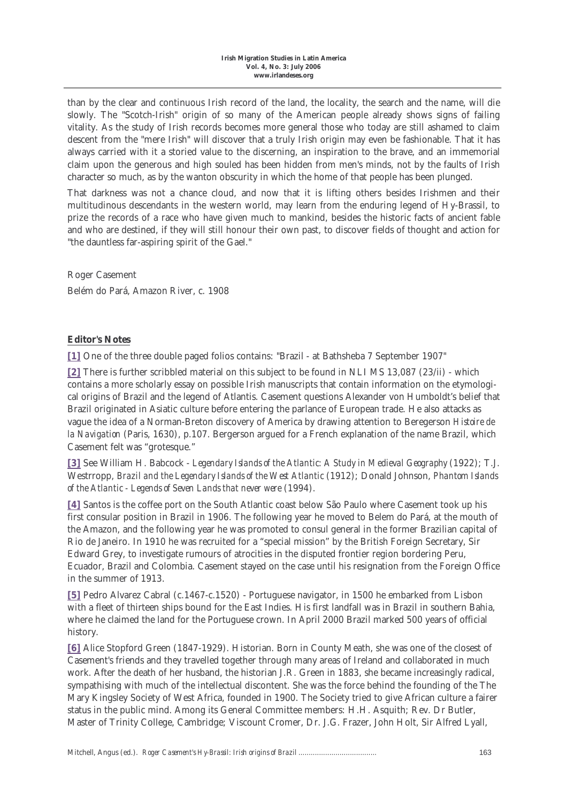than by the clear and continuous Irish record of the land, the locality, the search and the name, will die slowly. The "Scotch-Irish" origin of so many of the American people already shows signs of failing vitality. As the study of Irish records becomes more general those who today are still ashamed to claim descent from the "mere Irish" will discover that a truly Irish origin may even be fashionable. That it has always carried with it a storied value to the discerning, an inspiration to the brave, and an immemorial claim upon the generous and high souled has been hidden from men's minds, not by the faults of Irish character so much, as by the wanton obscurity in which the home of that people has been plunged.

That darkness was not a chance cloud, and now that it is lifting others besides Irishmen and their multitudinous descendants in the western world, may learn from the enduring legend of Hy-Brassil, to prize the records of a race who have given much to mankind, besides the historic facts of ancient fable and who are destined, if they will still honour their own past, to discover fields of thought and action for "the dauntless far-aspiring spirit of the Gael."

Roger Casement Belém do Pará, Amazon River, c. 1908

## **Editor's Notes**

**[1]** One of the three double paged folios contains: "Brazil - at Bathsheba 7 September 1907"

**[2]** There is further scribbled material on this subject to be found in NLI MS 13,087 (23/ii) - which contains a more scholarly essay on possible Irish manuscripts that contain information on the etymological origins of Brazil and the legend of Atlantis. Casement questions Alexander von Humboldt's belief that Brazil originated in Asiatic culture before entering the parlance of European trade. He also attacks as vague the idea of a Norman-Breton discovery of America by drawing attention to Beregerson *Histoire de la Navigation* (Paris, 1630), p.107. Bergerson argued for a French explanation of the name Brazil, which Casement felt was "grotesque."

**[3]** See William H. Babcock - *Legendary Islands of the Atlantic: A Study in Medieval Geography* (1922); T.J. Westrropp, *Brazil and the Legendary Islands of the West Atlantic* (1912); Donald Johnson, *Phantom Islands of the Atlantic - Legends of Seven Lands that never were* (1994).

**[4]** Santos is the coffee port on the South Atlantic coast below São Paulo where Casement took up his first consular position in Brazil in 1906. The following year he moved to Belem do Pará, at the mouth of the Amazon, and the following year he was promoted to consul general in the former Brazilian capital of Rio de Janeiro. In 1910 he was recruited for a "special mission" by the British Foreign Secretary, Sir Edward Grey, to investigate rumours of atrocities in the disputed frontier region bordering Peru, Ecuador, Brazil and Colombia. Casement stayed on the case until his resignation from the Foreign Office in the summer of 1913.

**[5]** Pedro Alvarez Cabral (c.1467-c.1520) - Portuguese navigator, in 1500 he embarked from Lisbon with a fleet of thirteen ships bound for the East Indies. His first landfall was in Brazil in southern Bahia, where he claimed the land for the Portuguese crown. In April 2000 Brazil marked 500 years of official history.

**[6]** Alice Stopford Green (1847-1929). Historian. Born in County Meath, she was one of the closest of Casement's friends and they travelled together through many areas of Ireland and collaborated in much work. After the death of her husband, the historian J.R. Green in 1883, she became increasingly radical, sympathising with much of the intellectual discontent. She was the force behind the founding of the The Mary Kingsley Society of West Africa, founded in 1900. The Society tried to give African culture a fairer status in the public mind. Among its General Committee members: H.H. Asquith; Rev. Dr Butler, Master of Trinity College, Cambridge; Viscount Cromer, Dr. J.G. Frazer, John Holt, Sir Alfred Lyall,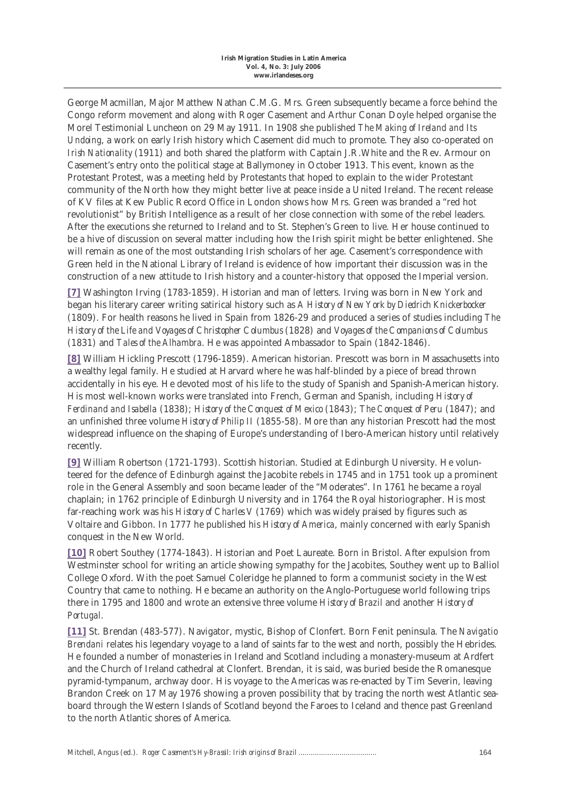George Macmillan, Major Matthew Nathan C.M.G. Mrs. Green subsequently became a force behind the Congo reform movement and along with Roger Casement and Arthur Conan Doyle helped organise the Morel Testimonial Luncheon on 29 May 1911. In 1908 she published *The Making of Ireland and Its Undoing*, a work on early Irish history which Casement did much to promote. They also co-operated on *Irish Nationality* (1911) and both shared the platform with Captain J.R.White and the Rev. Armour on Casement's entry onto the political stage at Ballymoney in October 1913. This event, known as the Protestant Protest, was a meeting held by Protestants that hoped to explain to the wider Protestant community of the North how they might better live at peace inside a United Ireland. The recent release of KV files at Kew Public Record Office in London shows how Mrs. Green was branded a "red hot revolutionist" by British Intelligence as a result of her close connection with some of the rebel leaders. After the executions she returned to Ireland and to St. Stephen's Green to live. Her house continued to be a hive of discussion on several matter including how the Irish spirit might be better enlightened. She will remain as one of the most outstanding Irish scholars of her age. Casement's correspondence with Green held in the National Library of Ireland is evidence of how important their discussion was in the construction of a new attitude to Irish history and a counter-history that opposed the Imperial version.

**[7]** Washington Irving (1783-1859). Historian and man of letters. Irving was born in New York and began his literary career writing satirical history such as *A History of New York by Diedrich Knickerbocker* (1809). For health reasons he lived in Spain from 1826-29 and produced a series of studies including *The History of the Life and Voyages of Christopher Columbus* (1828) and *Voyages of the Companions of Columbus* (1831) and *Tales of the Alhambra*. He was appointed Ambassador to Spain (1842-1846).

**[8]** William Hickling Prescott (1796-1859). American historian. Prescott was born in Massachusetts into a wealthy legal family. He studied at Harvard where he was half-blinded by a piece of bread thrown accidentally in his eye. He devoted most of his life to the study of Spanish and Spanish-American history. His most well-known works were translated into French, German and Spanish, including *History of Ferdinand and Isabella* (1838); *History of the Conquest of Mexico* (1843); *The Conquest of Peru* (1847); and an unfinished three volume *History of Philip II* (1855-58). More than any historian Prescott had the most widespread influence on the shaping of Europe's understanding of Ibero-American history until relatively recently.

**[9]** William Robertson (1721-1793). Scottish historian. Studied at Edinburgh University. He volunteered for the defence of Edinburgh against the Jacobite rebels in 1745 and in 1751 took up a prominent role in the General Assembly and soon became leader of the "Moderates". In 1761 he became a royal chaplain; in 1762 principle of Edinburgh University and in 1764 the Royal historiographer. His most far-reaching work was his *History of Charles V* (1769) which was widely praised by figures such as Voltaire and Gibbon. In 1777 he published his *History of America*, mainly concerned with early Spanish conquest in the New World.

**[10]** Robert Southey (1774-1843). Historian and Poet Laureate. Born in Bristol. After expulsion from Westminster school for writing an article showing sympathy for the Jacobites, Southey went up to Balliol College Oxford. With the poet Samuel Coleridge he planned to form a communist society in the West Country that came to nothing. He became an authority on the Anglo-Portuguese world following trips there in 1795 and 1800 and wrote an extensive three volume *History of Brazil* and another *History of Portugal*.

**[11]** St. Brendan (483-577). Navigator, mystic, Bishop of Clonfert. Born Fenit peninsula. The *Navigatio Brendani* relates his legendary voyage to a land of saints far to the west and north, possibly the Hebrides. He founded a number of monasteries in Ireland and Scotland including a monastery-museum at Ardfert and the Church of Ireland cathedral at Clonfert. Brendan, it is said, was buried beside the Romanesque pyramid-tympanum, archway door. His voyage to the Americas was re-enacted by Tim Severin, leaving Brandon Creek on 17 May 1976 showing a proven possibility that by tracing the north west Atlantic seaboard through the Western Islands of Scotland beyond the Faroes to Iceland and thence past Greenland to the north Atlantic shores of America.